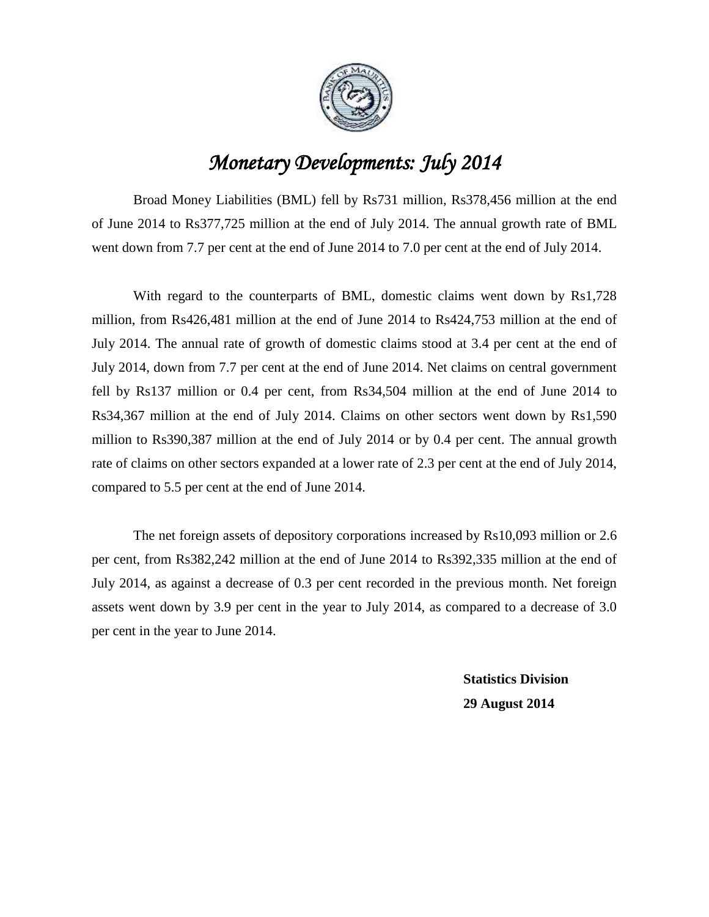

## *Monetary Developments: July 2014*

Broad Money Liabilities (BML) fell by Rs731 million, Rs378,456 million at the end of June 2014 to Rs377,725 million at the end of July 2014. The annual growth rate of BML went down from 7.7 per cent at the end of June 2014 to 7.0 per cent at the end of July 2014.

With regard to the counterparts of BML, domestic claims went down by Rs1,728 million, from Rs426,481 million at the end of June 2014 to Rs424,753 million at the end of July 2014. The annual rate of growth of domestic claims stood at 3.4 per cent at the end of July 2014, down from 7.7 per cent at the end of June 2014. Net claims on central government fell by Rs137 million or 0.4 per cent, from Rs34,504 million at the end of June 2014 to Rs34,367 million at the end of July 2014. Claims on other sectors went down by Rs1,590 million to Rs390,387 million at the end of July 2014 or by 0.4 per cent. The annual growth rate of claims on other sectors expanded at a lower rate of 2.3 per cent at the end of July 2014, compared to 5.5 per cent at the end of June 2014.

The net foreign assets of depository corporations increased by Rs10,093 million or 2.6 per cent, from Rs382,242 million at the end of June 2014 to Rs392,335 million at the end of July 2014, as against a decrease of 0.3 per cent recorded in the previous month. Net foreign assets went down by 3.9 per cent in the year to July 2014, as compared to a decrease of 3.0 per cent in the year to June 2014.

> **Statistics Division 29 August 2014**